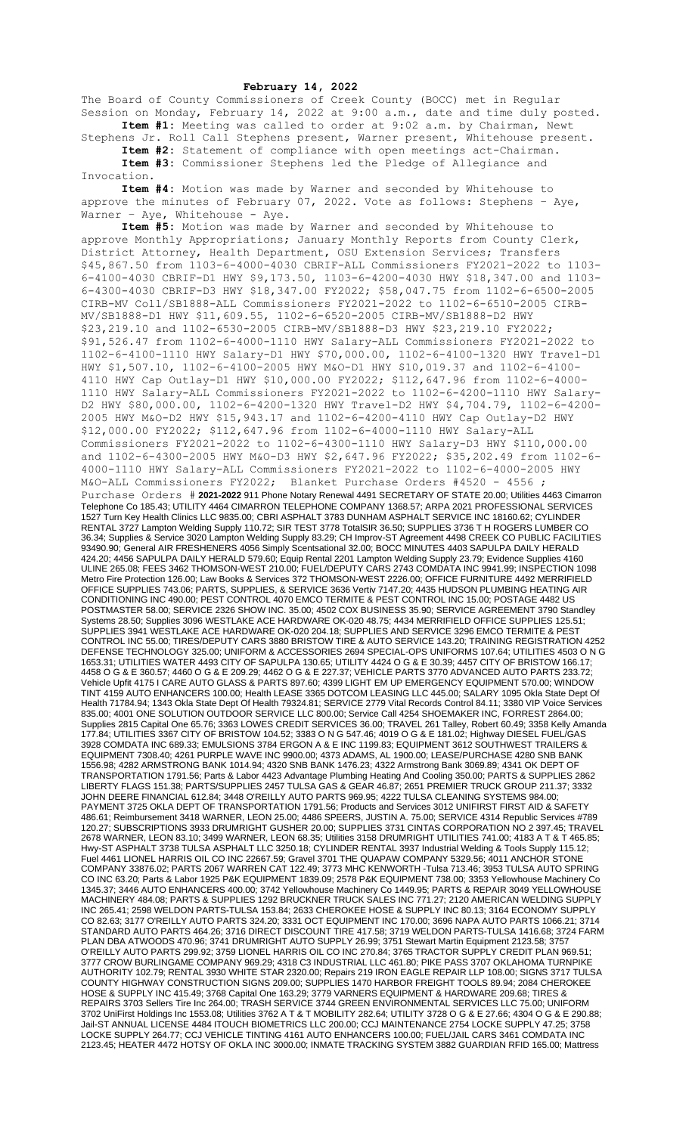## **February 14, 2022**

The Board of County Commissioners of Creek County (BOCC) met in Regular Session on Monday, February 14, 2022 at 9:00 a.m., date and time duly posted. **Item #1:** Meeting was called to order at 9:02 a.m. by Chairman, Newt

Stephens Jr. Roll Call Stephens present, Warner present, Whitehouse present. **Item #2:** Statement of compliance with open meetings act-Chairman. **Item #3:** Commissioner Stephens led the Pledge of Allegiance and

Invocation. **Item #4:** Motion was made by Warner and seconded by Whitehouse to

approve the minutes of February  $07$ , 2022. Vote as follows: Stephens - Aye, Warner - Aye, Whitehouse - Aye.

**Item #5:** Motion was made by Warner and seconded by Whitehouse to approve Monthly Appropriations; January Monthly Reports from County Clerk, District Attorney, Health Department, OSU Extension Services; Transfers \$45,867.50 from 1103-6-4000-4030 CBRIF-ALL Commissioners FY2021-2022 to 1103- 6-4100-4030 CBRIF-D1 HWY \$9,173.50, 1103-6-4200-4030 HWY \$18,347.00 and 1103- 6-4300-4030 CBRIF-D3 HWY \$18,347.00 FY2022; \$58,047.75 from 1102-6-6500-2005 CIRB-MV Coll/SB1888-ALL Commissioners FY2021-2022 to 1102-6-6510-2005 CIRB-MV/SB1888-D1 HWY \$11,609.55, 1102-6-6520-2005 CIRB-MV/SB1888-D2 HWY \$23,219.10 and 1102-6530-2005 CIRB-MV/SB1888-D3 HWY \$23,219.10 FY2022; \$91,526.47 from 1102-6-4000-1110 HWY Salary-ALL Commissioners FY2021-2022 to 1102-6-4100-1110 HWY Salary-D1 HWY \$70,000.00, 1102-6-4100-1320 HWY Travel-D1 HWY \$1,507.10, 1102-6-4100-2005 HWY M&O-D1 HWY \$10,019.37 and 1102-6-4100- 4110 HWY Cap Outlay-D1 HWY \$10,000.00 FY2022; \$112,647.96 from 1102-6-4000- 1110 HWY Salary-ALL Commissioners FY2021-2022 to 1102-6-4200-1110 HWY Salary-D2 HWY \$80,000.00, 1102-6-4200-1320 HWY Travel-D2 HWY \$4,704.79, 1102-6-4200- 2005 HWY M&O-D2 HWY \$15,943.17 and 1102-6-4200-4110 HWY Cap Outlay-D2 HWY \$12,000.00 FY2022; \$112,647.96 from 1102-6-4000-1110 HWY Salary-ALL Commissioners FY2021-2022 to 1102-6-4300-1110 HWY Salary-D3 HWY \$110,000.00 and 1102-6-4300-2005 HWY M&O-D3 HWY \$2,647.96 FY2022; \$35,202.49 from 1102-6- 4000-1110 HWY Salary-ALL Commissioners FY2021-2022 to 1102-6-4000-2005 HWY M&O-ALL Commissioners FY2022; Blanket Purchase Orders #4520 - 4556 ; Purchase Orders # **2021-2022** 911 Phone Notary Renewal 4491 SECRETARY OF STATE 20.00; Utilities 4463 Cimarron Telephone Co 185.43; UTILITY 4464 CIMARRON TELEPHONE COMPANY 1368.57; ARPA 2021 PROFESSIONAL SERVICES 1527 Turn Key Health Clinics LLC 9835.00; CBRI ASPHALT 3783 DUNHAM ASPHALT SERVICE INC 18160.62; CYLINDER RENTAL 3727 Lampton Welding Supply 110.72; SIR TEST 3778 TotalSIR 36.50; SUPPLIES 3736 T H ROGERS LUMBER CO 36.34; Supplies & Service 3020 Lampton Welding Supply 83.29; CH Improv-ST Agreement 4498 CREEK CO PUBLIC FACILITIES 93490.90; General AIR FRESHENERS 4056 Simply Scentsational 32.00; BOCC MINUTES 4403 SAPULPA DAILY HERALD 424.20; 4456 SAPULPA DAILY HERALD 579.60; Equip Rental 2201 Lampton Welding Supply 23.79; Evidence Supplies 4160 ULINE 265.08; FEES 3462 THOMSON-WEST 210.00; FUEL/DEPUTY CARS 2743 COMDATA INC 9941.99; INSPECTION 1098 Metro Fire Protection 126.00; Law Books & Services 372 THOMSON-WEST 2226.00; OFFICE FURNITURE 4492 MERRIFIELD OFFICE SUPPLIES 743.06; PARTS, SUPPLIES, & SERVICE 3636 Vertiv 7147.20; 4435 HUDSON PLUMBING HEATING AIR CONDITIONING INC 490.00; PEST CONTROL 4070 EMCO TERMITE & PEST CONTROL INC 15.00; POSTAGE 4482 US POSTMASTER 58.00; SERVICE 2326 SHOW INC. 35.00; 4502 COX BUSINESS 35.90; SERVICE AGREEMENT 3790 Standley Systems 28.50; Supplies 3096 WESTLAKE ACE HARDWARE OK-020 48.75; 4434 MERRIFIELD OFFICE SUPPLIES 125.51; SUPPLIES 3941 WESTLAKE ACE HARDWARE OK-020 204.18; SUPPLIES AND SERVICE 3296 EMCO TERMITE & PEST CONTROL INC 55.00; TIRES/DEPUTY CARS 3880 BRISTOW TIRE & AUTO SERVICE 143.20; TRAINING REGISTRATION 4252 DEFENSE TECHNOLOGY 325.00; UNIFORM & ACCESSORIES 2694 SPECIAL-OPS UNIFORMS 107.64; UTILITIES 4503 O N G 1653.31; UTILITIES WATER 4493 CITY OF SAPULPA 130.65; UTILITY 4424 O G & E 30.39; 4457 CITY OF BRISTOW 166.17; 4458 O G & E 360.57; 4460 O G & E 209.29; 4462 O G & E 227.37; VEHICLE PARTS 3770 ADVANCED AUTO PARTS 233.72; Vehicle Upfit 4175 I CARE AUTO GLASS & PARTS 897.60; 4399 LIGHT EM UP EMERGENCY EQUIPMENT 570.00; WINDOW TINT 4159 AUTO ENHANCERS 100.00; Health LEASE 3365 DOTCOM LEASING LLC 445.00; SALARY 1095 Okla State Dept Of Health 71784.94; 1343 Okla State Dept Of Health 79324.81; SERVICE 2779 Vital Records Control 84.11; 3380 VIP Voice Services 835.00; 4001 ONE SOLUTION OUTDOOR SERVICE LLC 800.00; Service Call 4254 SHOEMAKER INC, FORREST 2864.00; Supplies 2815 Capital One 65.76; 3363 LOWES CREDIT SERVICES 36.00; TRAVEL 261 Talley, Robert 60.49; 3358 Kelly Amanda 177.84; UTILITIES 3367 CITY OF BRISTOW 104.52; 3383 O N G 547.46; 4019 O G & E 181.02; Highway DIESEL FUEL/GAS 3928 COMDATA INC 689.33; EMULSIONS 3784 ERGON A & E INC 1199.83; EQUIPMENT 3612 SOUTHWEST TRAILERS & EQUIPMENT 7308.40; 4261 PURPLE WAVE INC 9900.00; 4373 ADAMS, AL 1900.00; LEASE/PURCHASE 4280 SNB BANK 1556.98; 4282 ARMSTRONG BANK 1014.94; 4320 SNB BANK 1476.23; 4322 Armstrong Bank 3069.89; 4341 OK DEPT OF TRANSPORTATION 1791.56; Parts & Labor 4423 Advantage Plumbing Heating And Cooling 350.00; PARTS & SUPPLIES 2862 LIBERTY FLAGS 151.38; PARTS/SUPPLIES 2457 TULSA GAS & GEAR 46.87; 2651 PREMIER TRUCK GROUP 211.37; 3332 JOHN DEERE FINANCIAL 612.84; 3448 O'REILLY AUTO PARTS 969.95; 4222 TULSA CLEANING SYSTEMS 984.00; PAYMENT 3725 OKLA DEPT OF TRANSPORTATION 1791.56; Products and Services 3012 UNIFIRST FIRST AID & SAFETY 486.61; Reimbursement 3418 WARNER, LEON 25.00; 4486 SPEERS, JUSTIN A. 75.00; SERVICE 4314 Republic Services #789 120.27; SUBSCRIPTIONS 3933 DRUMRIGHT GUSHER 20.00; SUPPLIES 3731 CINTAS CORPORATION NO 2 397.45; TRAVEL 2678 WARNER, LEON 83.10; 3499 WARNER, LEON 68.35; Utilities 3158 DRUMRIGHT UTILITIES 741.00; 4183 A T & T 465.85; Hwy-ST ASPHALT 3738 TULSA ASPHALT LLC 3250.18; CYLINDER RENTAL 3937 Industrial Welding & Tools Supply 115.12; Fuel 4461 LIONEL HARRIS OIL CO INC 22667.59; Gravel 3701 THE QUAPAW COMPANY 5329.56; 4011 ANCHOR STONE COMPANY 33876.02; PARTS 2067 WARREN CAT 122.49; 3773 MHC KENWORTH -Tulsa 713.46; 3953 TULSA AUTO SPRING CO INC 63.20; Parts & Labor 1925 P&K EQUIPMENT 1839.09; 2578 P&K EQUIPMENT 738.00; 3353 Yellowhouse Machinery Co 1345.37; 3446 AUTO ENHANCERS 400.00; 3742 Yellowhouse Machinery Co 1449.95; PARTS & REPAIR 3049 YELLOWHOUSE MACHINERY 484.08; PARTS & SUPPLIES 1292 BRUCKNER TRUCK SALES INC 771.27; 2120 AMERICAN WELDING SUPPLY INC 265.41; 2598 WELDON PARTS-TULSA 153.84; 2633 CHEROKEE HOSE & SUPPLY INC 80.13; 3164 ECONOMY SUPPLY CO 82.63; 3177 O'REILLY AUTO PARTS 324.20; 3331 OCT EQUIPMENT INC 170.00; 3696 NAPA AUTO PARTS 1066.21; 3714 STANDARD AUTO PARTS 464.26; 3716 DIRECT DISCOUNT TIRE 417.58; 3719 WELDON PARTS-TULSA 1416.68; 3724 FARM PLAN DBA ATWOODS 470.96; 3741 DRUMRIGHT AUTO SUPPLY 26.99; 3751 Stewart Martin Equipment 2123.58; 3757 O'REILLY AUTO PARTS 299.92; 3759 LIONEL HARRIS OIL CO INC 270.84; 3765 TRACTOR SUPPLY CREDIT PLAN 969.51; 3777 CROW BURLINGAME COMPANY 969.29; 4318 C3 INDUSTRIAL LLC 461.80; PIKE PASS 3707 OKLAHOMA TURNPIKE AUTHORITY 102.79; RENTAL 3930 WHITE STAR 2320.00; Repairs 219 IRON EAGLE REPAIR LLP 108.00; SIGNS 3717 TULSA COUNTY HIGHWAY CONSTRUCTION SIGNS 209.00; SUPPLIES 1470 HARBOR FREIGHT TOOLS 89.94; 2084 CHEROKEE HOSE & SUPPLY INC 415.49; 3768 Capital One 163.29; 3779 VARNERS EQUIPMENT & HARDWARE 209.68; TIRES & REPAIRS 3703 Sellers Tire Inc 264.00; TRASH SERVICE 3744 GREEN ENVIRONMENTAL SERVICES LLC 75.00; UNIFORM 3702 UniFirst Holdings Inc 1553.08; Utilities 3762 A T & T MOBILITY 282.64; UTILITY 3728 O G & E 27.66; 4304 O G & E 290.88; Jail-ST ANNUAL LICENSE 4484 ITOUCH BIOMETRICS LLC 200.00; CCJ MAINTENANCE 2754 LOCKE SUPPLY 47.25; 3758 LOCKE SUPPLY 264.77; CCJ VEHICLE TINTING 4161 AUTO ENHANCERS 100.00; FUEL/JAIL CARS 3461 COMDATA INC 2123.45; HEATER 4472 HOTSY OF OKLA INC 3000.00; INMATE TRACKING SYSTEM 3882 GUARDIAN RFID 165.00; Mattress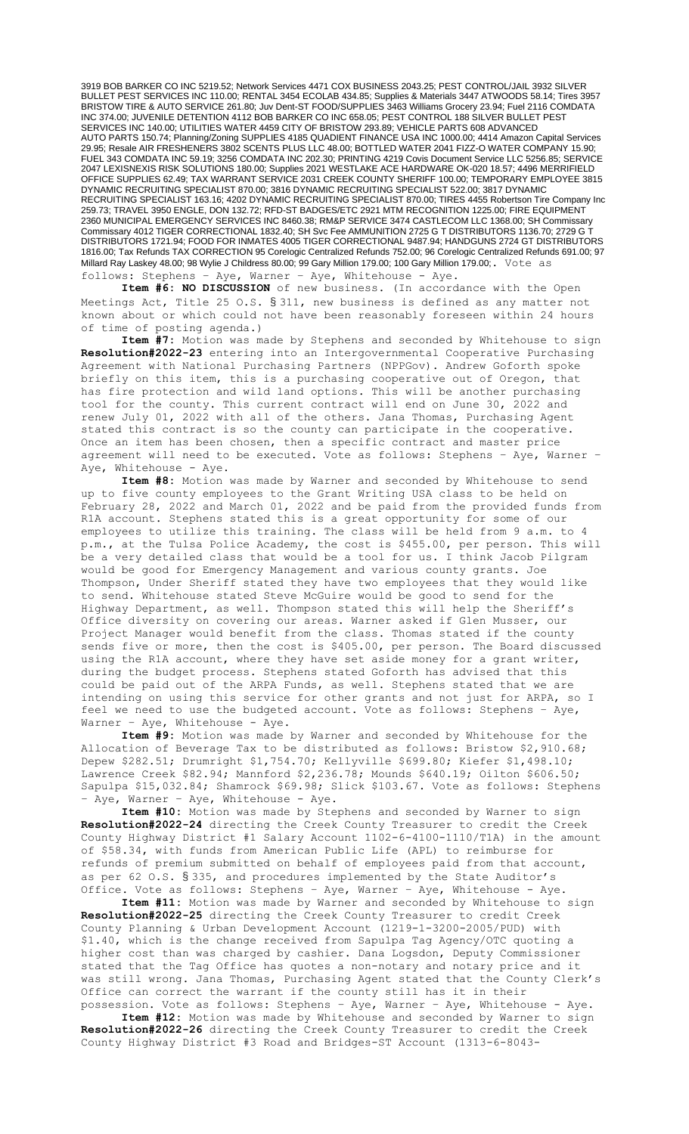3919 BOB BARKER CO INC 5219.52; Network Services 4471 COX BUSINESS 2043.25; PEST CONTROL/JAIL 3932 SILVER BULLET PEST SERVICES INC 110.00; RENTAL 3454 ECOLAB 434.85; Supplies & Materials 3447 ATWOODS 58.14; Tires 3957 BRISTOW TIRE & AUTO SERVICE 261.80; Juv Dent-ST FOOD/SUPPLIES 3463 Williams Grocery 23.94; Fuel 2116 COMDATA INC 374.00; JUVENILE DETENTION 4112 BOB BARKER CO INC 658.05; PEST CONTROL 188 SILVER BULLET PEST SERVICES INC 140.00; UTILITIES WATER 4459 CITY OF BRISTOW 293.89; VEHICLE PARTS 608 ADVANCED AUTO PARTS 150.74; Planning/Zoning SUPPLIES 4185 QUADIENT FINANCE USA INC 1000.00; 4414 Amazon Capital Services 29.95; Resale AIR FRESHENERS 3802 SCENTS PLUS LLC 48.00; BOTTLED WATER 2041 FIZZ-O WATER COMPANY 15.90; FUEL 343 COMDATA INC 59.19; 3256 COMDATA INC 202.30; PRINTING 4219 Covis Document Service LLC 5256.85; SERVICE 2047 LEXISNEXIS RISK SOLUTIONS 180.00; Supplies 2021 WESTLAKE ACE HARDWARE OK-020 18.57; 4496 MERRIFIELD OFFICE SUPPLIES 62.49; TAX WARRANT SERVICE 2031 CREEK COUNTY SHERIFF 100.00; TEMPORARY EMPLOYEE 3815 DYNAMIC RECRUITING SPECIALIST 870.00; 3816 DYNAMIC RECRUITING SPECIALIST 522.00; 3817 DYNAMIC RECRUITING SPECIALIST 163.16; 4202 DYNAMIC RECRUITING SPECIALIST 870.00; TIRES 4455 Robertson Tire Company Inc 259.73; TRAVEL 3950 ENGLE, DON 132.72; RFD-ST BADGES/ETC 2921 MTM RECOGNITION 1225.00; FIRE EQUIPMENT 2360 MUNICIPAL EMERGENCY SERVICES INC 8460.38; RM&P SERVICE 3474 CASTLECOM LLC 1368.00; SH Commissary Commissary 4012 TIGER CORRECTIONAL 1832.40; SH Svc Fee AMMUNITION 2725 G T DISTRIBUTORS 1136.70; 2729 G T DISTRIBUTORS 1721.94; FOOD FOR INMATES 4005 TIGER CORRECTIONAL 9487.94; HANDGUNS 2724 GT DISTRIBUTORS 1816.00; Tax Refunds TAX CORRECTION 95 Corelogic Centralized Refunds 752.00; 96 Corelogic Centralized Refunds 691.00; 97 Millard Ray Laskey 48.00; 98 Wylie J Childress 80.00; 99 Gary Million 179.00; 100 Gary Million 179.00;. Vote as follows: Stephens – Aye, Warner – Aye, Whitehouse - Aye.

**Item #6: NO DISCUSSION** of new business. (In accordance with the Open Meetings Act, Title 25 O.S. § 311, new business is defined as any matter not known about or which could not have been reasonably foreseen within 24 hours of time of posting agenda.)

**Item #7:** Motion was made by Stephens and seconded by Whitehouse to sign **Resolution#2022-23** entering into an Intergovernmental Cooperative Purchasing Agreement with National Purchasing Partners (NPPGov). Andrew Goforth spoke briefly on this item, this is a purchasing cooperative out of Oregon, that has fire protection and wild land options. This will be another purchasing tool for the county. This current contract will end on June 30, 2022 and renew July 01, 2022 with all of the others. Jana Thomas, Purchasing Agent stated this contract is so the county can participate in the cooperative. Once an item has been chosen, then a specific contract and master price agreement will need to be executed. Vote as follows: Stephens – Aye, Warner – Aye, Whitehouse - Aye.

**Item #8:** Motion was made by Warner and seconded by Whitehouse to send up to five county employees to the Grant Writing USA class to be held on February 28, 2022 and March 01, 2022 and be paid from the provided funds from R1A account. Stephens stated this is a great opportunity for some of our employees to utilize this training. The class will be held from 9 a.m. to 4 p.m., at the Tulsa Police Academy, the cost is \$455.00, per person. This will be a very detailed class that would be a tool for us. I think Jacob Pilgram would be good for Emergency Management and various county grants. Joe Thompson, Under Sheriff stated they have two employees that they would like to send. Whitehouse stated Steve McGuire would be good to send for the Highway Department, as well. Thompson stated this will help the Sheriff's Office diversity on covering our areas. Warner asked if Glen Musser, our Project Manager would benefit from the class. Thomas stated if the county sends five or more, then the cost is \$405.00, per person. The Board discussed using the R1A account, where they have set aside money for a grant writer, during the budget process. Stephens stated Goforth has advised that this could be paid out of the ARPA Funds, as well. Stephens stated that we are intending on using this service for other grants and not just for ARPA, so I feel we need to use the budgeted account. Vote as follows: Stephens – Aye, Warner - Aye, Whitehouse - Aye.

**Item #9:** Motion was made by Warner and seconded by Whitehouse for the Allocation of Beverage Tax to be distributed as follows: Bristow \$2,910.68; Depew \$282.51; Drumright \$1,754.70; Kellyville \$699.80; Kiefer \$1,498.10; Lawrence Creek \$82.94; Mannford \$2,236.78; Mounds \$640.19; Oilton \$606.50; Sapulpa \$15,032.84; Shamrock \$69.98; Slick \$103.67. Vote as follows: Stephens - Aye, Warner - Aye, Whitehouse - Aye.

**Item #10:** Motion was made by Stephens and seconded by Warner to sign **Resolution#2022-24** directing the Creek County Treasurer to credit the Creek County Highway District #1 Salary Account 1102-6-4100-1110/T1A) in the amount of \$58.34, with funds from American Public Life (APL) to reimburse for refunds of premium submitted on behalf of employees paid from that account, as per 62 O.S. § 335, and procedures implemented by the State Auditor's Office. Vote as follows: Stephens – Aye, Warner – Aye, Whitehouse - Aye.

**Item #11:** Motion was made by Warner and seconded by Whitehouse to sign **Resolution#2022-25** directing the Creek County Treasurer to credit Creek County Planning & Urban Development Account (1219-1-3200-2005/PUD) with \$1.40, which is the change received from Sapulpa Tag Agency/OTC quoting a higher cost than was charged by cashier. Dana Logsdon, Deputy Commissioner stated that the Tag Office has quotes a non-notary and notary price and it was still wrong. Jana Thomas, Purchasing Agent stated that the County Clerk's Office can correct the warrant if the county still has it in their possession. Vote as follows: Stephens – Aye, Warner – Aye, Whitehouse - Aye.

**Item #12:** Motion was made by Whitehouse and seconded by Warner to sign **Resolution#2022-26** directing the Creek County Treasurer to credit the Creek County Highway District #3 Road and Bridges-ST Account (1313-6-8043